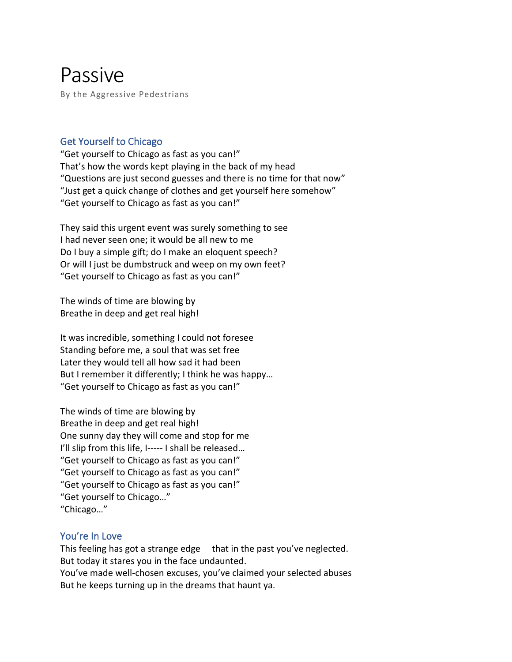# Passive

By the Aggressive Pedestrians

## Get Yourself to Chicago

"Get yourself to Chicago as fast as you can!" That's how the words kept playing in the back of my head "Questions are just second guesses and there is no time for that now" "Just get a quick change of clothes and get yourself here somehow" "Get yourself to Chicago as fast as you can!"

They said this urgent event was surely something to see I had never seen one; it would be all new to me Do I buy a simple gift; do I make an eloquent speech? Or will I just be dumbstruck and weep on my own feet? "Get yourself to Chicago as fast as you can!"

The winds of time are blowing by Breathe in deep and get real high!

It was incredible, something I could not foresee Standing before me, a soul that was set free Later they would tell all how sad it had been But I remember it differently; I think he was happy… "Get yourself to Chicago as fast as you can!"

The winds of time are blowing by Breathe in deep and get real high! One sunny day they will come and stop for me I'll slip from this life, I----- I shall be released... "Get yourself to Chicago as fast as you can!" "Get yourself to Chicago as fast as you can!" "Get yourself to Chicago as fast as you can!" "Get yourself to Chicago…" "Chicago…"

# You're In Love

This feeling has got a strange edge that in the past you've neglected. But today it stares you in the face undaunted. You've made well-chosen excuses, you've claimed your selected abuses But he keeps turning up in the dreams that haunt ya.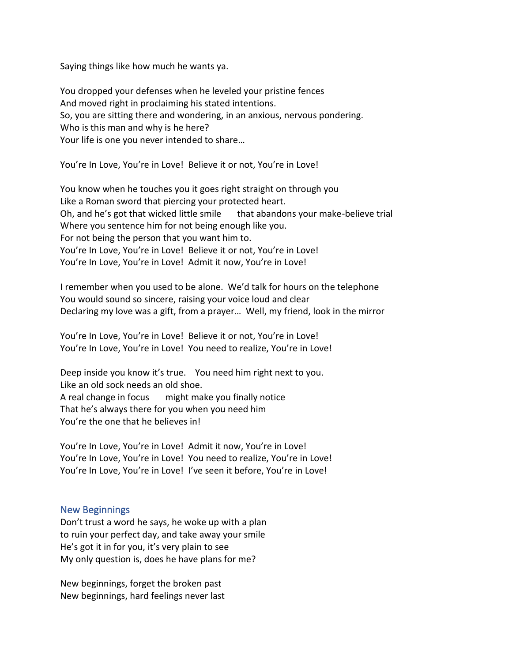Saying things like how much he wants ya.

You dropped your defenses when he leveled your pristine fences And moved right in proclaiming his stated intentions. So, you are sitting there and wondering, in an anxious, nervous pondering. Who is this man and why is he here? Your life is one you never intended to share…

You're In Love, You're in Love! Believe it or not, You're in Love!

You know when he touches you it goes right straight on through you Like a Roman sword that piercing your protected heart. Oh, and he's got that wicked little smile that abandons your make-believe trial Where you sentence him for not being enough like you. For not being the person that you want him to. You're In Love, You're in Love! Believe it or not, You're in Love! You're In Love, You're in Love! Admit it now, You're in Love!

I remember when you used to be alone. We'd talk for hours on the telephone You would sound so sincere, raising your voice loud and clear Declaring my love was a gift, from a prayer… Well, my friend, look in the mirror

You're In Love, You're in Love! Believe it or not, You're in Love! You're In Love, You're in Love! You need to realize, You're in Love!

Deep inside you know it's true. You need him right next to you. Like an old sock needs an old shoe. A real change in focus might make you finally notice That he's always there for you when you need him You're the one that he believes in!

You're In Love, You're in Love! Admit it now, You're in Love! You're In Love, You're in Love! You need to realize, You're in Love! You're In Love, You're in Love! I've seen it before, You're in Love!

#### New Beginnings

Don't trust a word he says, he woke up with a plan to ruin your perfect day, and take away your smile He's got it in for you, it's very plain to see My only question is, does he have plans for me?

New beginnings, forget the broken past New beginnings, hard feelings never last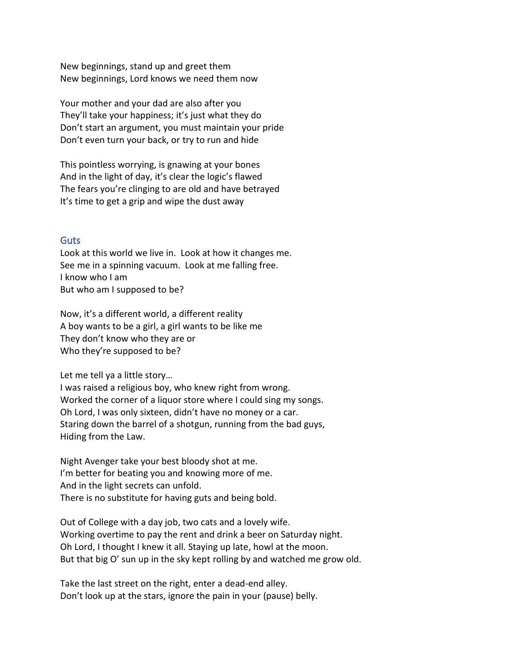New beginnings, stand up and greet them New beginnings, Lord knows we need them now

Your mother and your dad are also after you They'll take your happiness; it's just what they do Don't start an argument, you must maintain your pride Don't even turn your back, or try to run and hide

This pointless worrying, is gnawing at your bones And in the light of day, it's clear the logic's flawed The fears you're clinging to are old and have betrayed It's time to get a grip and wipe the dust away

#### **Guts**

Look at this world we live in. Look at how it changes me. See me in a spinning vacuum. Look at me falling free. I know who I am But who am I supposed to be?

Now, it's a different world, a different reality A boy wants to be a girl, a girl wants to be like me They don't know who they are or Who they're supposed to be?

Let me tell ya a little story…

I was raised a religious boy, who knew right from wrong. Worked the corner of a liquor store where I could sing my songs. Oh Lord, I was only sixteen, didn't have no money or a car. Staring down the barrel of a shotgun, running from the bad guys, Hiding from the Law.

Night Avenger take your best bloody shot at me. I'm better for beating you and knowing more of me. And in the light secrets can unfold. There is no substitute for having guts and being bold.

Out of College with a day job, two cats and a lovely wife. Working overtime to pay the rent and drink a beer on Saturday night. Oh Lord, I thought I knew it all. Staying up late, howl at the moon. But that big O' sun up in the sky kept rolling by and watched me grow old.

Take the last street on the right, enter a dead-end alley. Don't look up at the stars, ignore the pain in your (pause) belly.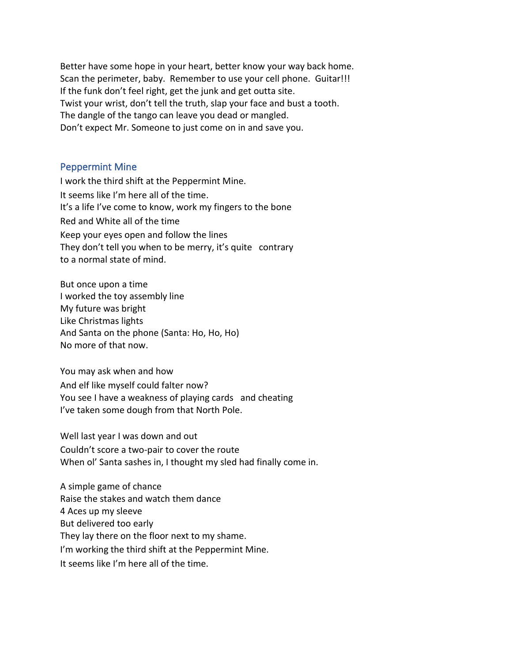Better have some hope in your heart, better know your way back home. Scan the perimeter, baby. Remember to use your cell phone. Guitar!!! If the funk don't feel right, get the junk and get outta site. Twist your wrist, don't tell the truth, slap your face and bust a tooth. The dangle of the tango can leave you dead or mangled. Don't expect Mr. Someone to just come on in and save you.

#### Peppermint Mine

I work the third shift at the Peppermint Mine. It seems like I'm here all of the time. It's a life I've come to know, work my fingers to the bone Red and White all of the time Keep your eyes open and follow the lines They don't tell you when to be merry, it's quite contrary to a normal state of mind.

But once upon a time I worked the toy assembly line My future was bright Like Christmas lights And Santa on the phone (Santa: Ho, Ho, Ho) No more of that now.

You may ask when and how And elf like myself could falter now? You see I have a weakness of playing cards and cheating I've taken some dough from that North Pole.

Well last year I was down and out Couldn't score a two-pair to cover the route When ol' Santa sashes in, I thought my sled had finally come in.

A simple game of chance Raise the stakes and watch them dance 4 Aces up my sleeve But delivered too early They lay there on the floor next to my shame. I'm working the third shift at the Peppermint Mine. It seems like I'm here all of the time.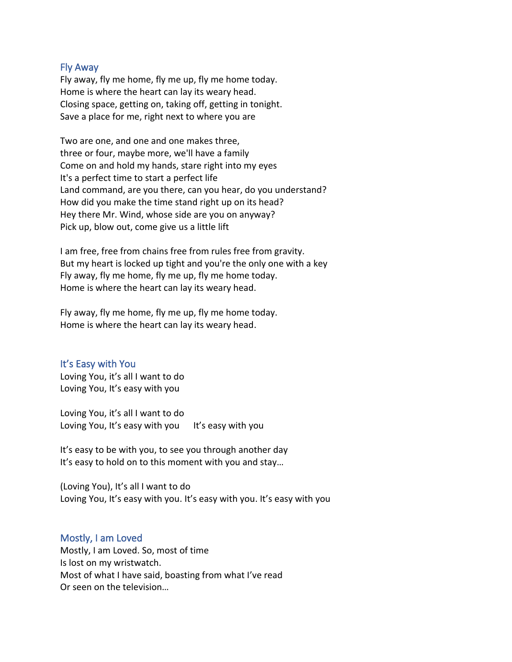#### Fly Away

Fly away, fly me home, fly me up, fly me home today. Home is where the heart can lay its weary head. Closing space, getting on, taking off, getting in tonight. Save a place for me, right next to where you are

Two are one, and one and one makes three, three or four, maybe more, we'll have a family Come on and hold my hands, stare right into my eyes It's a perfect time to start a perfect life Land command, are you there, can you hear, do you understand? How did you make the time stand right up on its head? Hey there Mr. Wind, whose side are you on anyway? Pick up, blow out, come give us a little lift

I am free, free from chains free from rules free from gravity. But my heart is locked up tight and you're the only one with a key Fly away, fly me home, fly me up, fly me home today. Home is where the heart can lay its weary head.

Fly away, fly me home, fly me up, fly me home today. Home is where the heart can lay its weary head.

#### It's Easy with You

Loving You, it's all I want to do Loving You, It's easy with you

Loving You, it's all I want to do Loving You, It's easy with you It's easy with you

It's easy to be with you, to see you through another day It's easy to hold on to this moment with you and stay…

(Loving You), It's all I want to do Loving You, It's easy with you. It's easy with you. It's easy with you

#### Mostly, I am Loved

Mostly, I am Loved. So, most of time Is lost on my wristwatch. Most of what I have said, boasting from what I've read Or seen on the television…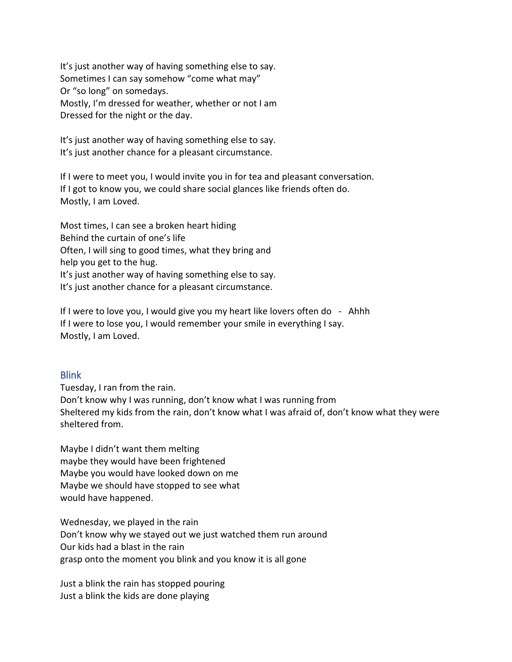It's just another way of having something else to say. Sometimes I can say somehow "come what may" Or "so long" on somedays. Mostly, I'm dressed for weather, whether or not I am Dressed for the night or the day.

It's just another way of having something else to say. It's just another chance for a pleasant circumstance.

If I were to meet you, I would invite you in for tea and pleasant conversation. If I got to know you, we could share social glances like friends often do. Mostly, I am Loved.

Most times, I can see a broken heart hiding Behind the curtain of one's life Often, I will sing to good times, what they bring and help you get to the hug. It's just another way of having something else to say. It's just another chance for a pleasant circumstance.

If I were to love you, I would give you my heart like lovers often do - Ahhh If I were to lose you, I would remember your smile in everything I say. Mostly, I am Loved.

#### Blink

Tuesday, I ran from the rain. Don't know why I was running, don't know what I was running from Sheltered my kids from the rain, don't know what I was afraid of, don't know what they were sheltered from.

Maybe I didn't want them melting maybe they would have been frightened Maybe you would have looked down on me Maybe we should have stopped to see what would have happened.

Wednesday, we played in the rain Don't know why we stayed out we just watched them run around Our kids had a blast in the rain grasp onto the moment you blink and you know it is all gone

Just a blink the rain has stopped pouring Just a blink the kids are done playing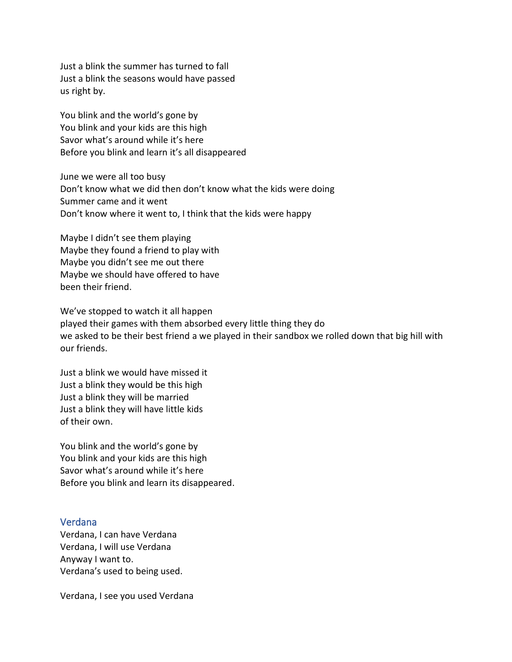Just a blink the summer has turned to fall Just a blink the seasons would have passed us right by.

You blink and the world's gone by You blink and your kids are this high Savor what's around while it's here Before you blink and learn it's all disappeared

June we were all too busy Don't know what we did then don't know what the kids were doing Summer came and it went Don't know where it went to, I think that the kids were happy

Maybe I didn't see them playing Maybe they found a friend to play with Maybe you didn't see me out there Maybe we should have offered to have been their friend.

We've stopped to watch it all happen played their games with them absorbed every little thing they do we asked to be their best friend a we played in their sandbox we rolled down that big hill with our friends.

Just a blink we would have missed it Just a blink they would be this high Just a blink they will be married Just a blink they will have little kids of their own.

You blink and the world's gone by You blink and your kids are this high Savor what's around while it's here Before you blink and learn its disappeared.

#### Verdana

Verdana, I can have Verdana Verdana, I will use Verdana Anyway I want to. Verdana's used to being used.

Verdana, I see you used Verdana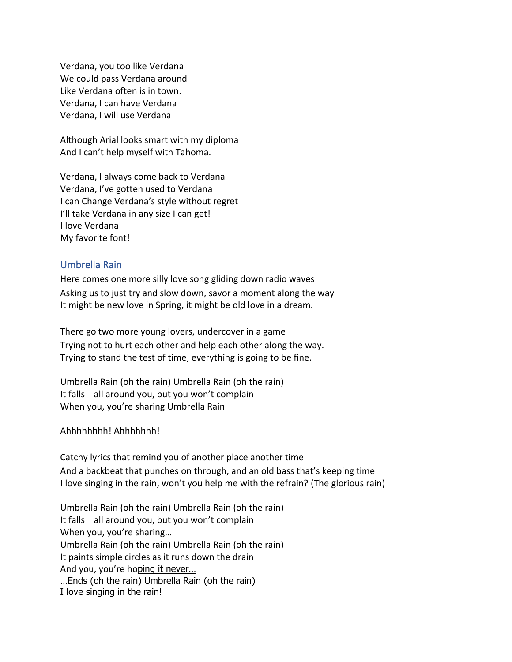Verdana, you too like Verdana We could pass Verdana around Like Verdana often is in town. Verdana, I can have Verdana Verdana, I will use Verdana

Although Arial looks smart with my diploma And I can't help myself with Tahoma.

Verdana, I always come back to Verdana Verdana, I've gotten used to Verdana I can Change Verdana's style without regret I'll take Verdana in any size I can get! I love Verdana My favorite font!

### Umbrella Rain

Here comes one more silly love song gliding down radio waves Asking us to just try and slow down, savor a moment along the way It might be new love in Spring, it might be old love in a dream.

There go two more young lovers, undercover in a game Trying not to hurt each other and help each other along the way. Trying to stand the test of time, everything is going to be fine.

Umbrella Rain (oh the rain) Umbrella Rain (oh the rain) It falls all around you, but you won't complain When you, you're sharing Umbrella Rain

Ahhhhhhhh! Ahhhhhhh!

Catchy lyrics that remind you of another place another time And a backbeat that punches on through, and an old bass that's keeping time I love singing in the rain, won't you help me with the refrain? (The glorious rain)

Umbrella Rain (oh the rain) Umbrella Rain (oh the rain) It falls all around you, but you won't complain When you, you're sharing… Umbrella Rain (oh the rain) Umbrella Rain (oh the rain) It paints simple circles as it runs down the drain And you, you're hoping it never… …Ends (oh the rain) Umbrella Rain (oh the rain)

I love singing in the rain!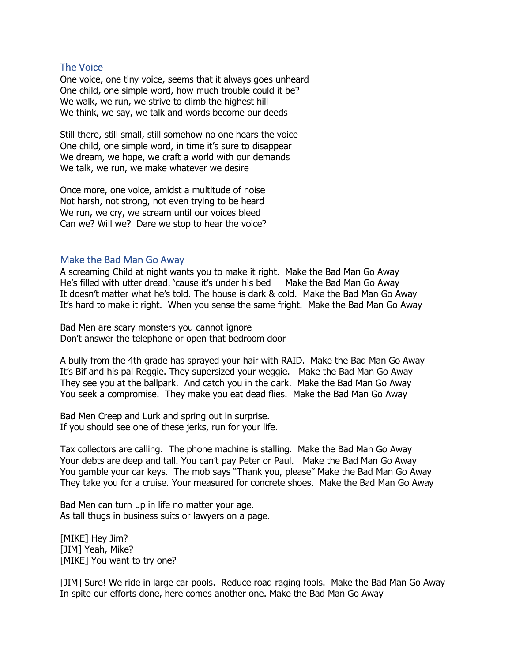#### The Voice

One voice, one tiny voice, seems that it always goes unheard One child, one simple word, how much trouble could it be? We walk, we run, we strive to climb the highest hill We think, we say, we talk and words become our deeds

Still there, still small, still somehow no one hears the voice One child, one simple word, in time it's sure to disappear We dream, we hope, we craft a world with our demands We talk, we run, we make whatever we desire

Once more, one voice, amidst a multitude of noise Not harsh, not strong, not even trying to be heard We run, we cry, we scream until our voices bleed Can we? Will we? Dare we stop to hear the voice?

#### Make the Bad Man Go Away

A screaming Child at night wants you to make it right. Make the Bad Man Go Away He's filled with utter dread. 'cause it's under his bed Make the Bad Man Go Away It doesn't matter what he's told. The house is dark & cold. Make the Bad Man Go Away It's hard to make it right. When you sense the same fright. Make the Bad Man Go Away

Bad Men are scary monsters you cannot ignore Don't answer the telephone or open that bedroom door

A bully from the 4th grade has sprayed your hair with RAID. Make the Bad Man Go Away It's Bif and his pal Reggie. They supersized your weggie. Make the Bad Man Go Away They see you at the ballpark. And catch you in the dark. Make the Bad Man Go Away You seek a compromise. They make you eat dead flies. Make the Bad Man Go Away

Bad Men Creep and Lurk and spring out in surprise. If you should see one of these jerks, run for your life.

Tax collectors are calling. The phone machine is stalling. Make the Bad Man Go Away Your debts are deep and tall. You can't pay Peter or Paul. Make the Bad Man Go Away You gamble your car keys. The mob says "Thank you, please" Make the Bad Man Go Away They take you for a cruise. Your measured for concrete shoes. Make the Bad Man Go Away

Bad Men can turn up in life no matter your age. As tall thugs in business suits or lawyers on a page.

[MIKE] Hey Jim? [JIM] Yeah, Mike? [MIKE] You want to try one?

[JIM] Sure! We ride in large car pools. Reduce road raging fools. Make the Bad Man Go Away In spite our efforts done, here comes another one. Make the Bad Man Go Away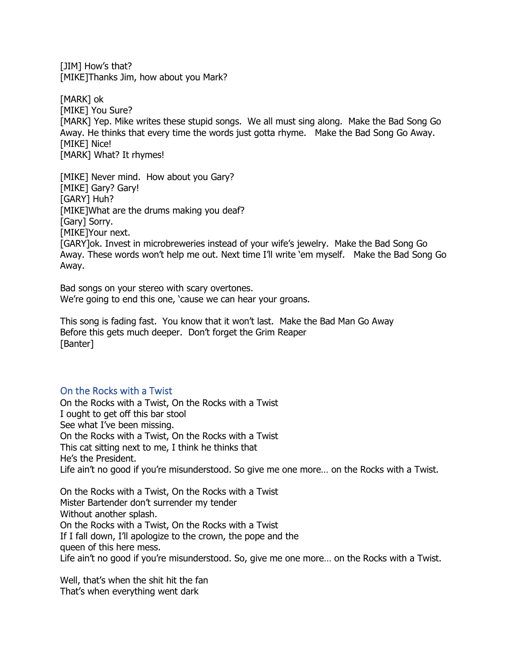[JIM] How's that? [MIKE]Thanks Jim, how about you Mark?

[MARK] ok [MIKE] You Sure? [MARK] Yep. Mike writes these stupid songs. We all must sing along. Make the Bad Song Go Away. He thinks that every time the words just gotta rhyme. Make the Bad Song Go Away. [MIKE] Nice! [MARK] What? It rhymes!

[MIKE] Never mind. How about you Gary? [MIKE] Gary? Gary! [GARY] Huh? [MIKE]What are the drums making you deaf? [Gary] Sorry. [MIKE]Your next. [GARY]ok. Invest in microbreweries instead of your wife's jewelry. Make the Bad Song Go Away. These words won't help me out. Next time I'll write 'em myself. Make the Bad Song Go Away.

Bad songs on your stereo with scary overtones. We're going to end this one, 'cause we can hear your groans.

This song is fading fast. You know that it won't last. Make the Bad Man Go Away Before this gets much deeper. Don't forget the Grim Reaper [Banter]

#### On the Rocks with a Twist

On the Rocks with a Twist, On the Rocks with a Twist I ought to get off this bar stool See what I've been missing. On the Rocks with a Twist, On the Rocks with a Twist This cat sitting next to me, I think he thinks that He's the President. Life ain't no good if you're misunderstood. So give me one more… on the Rocks with a Twist.

On the Rocks with a Twist, On the Rocks with a Twist Mister Bartender don't surrender my tender Without another splash. On the Rocks with a Twist, On the Rocks with a Twist If I fall down, I'll apologize to the crown, the pope and the queen of this here mess. Life ain't no good if you're misunderstood. So, give me one more… on the Rocks with a Twist.

Well, that's when the shit hit the fan That's when everything went dark